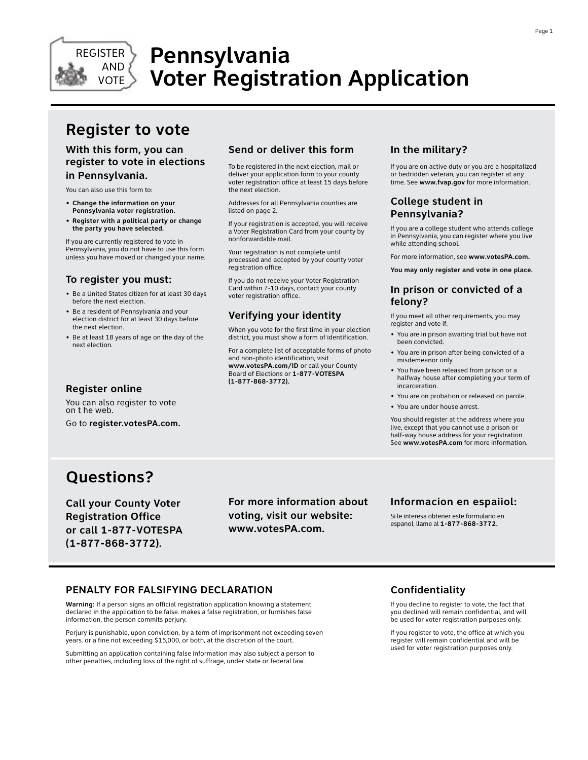

# **Pennsylvania Voter Registration Application**

## **Register to vote**

### **With this form, you can register to vote in elections in Pennsylvania.**

You can also use this form to:

- **• Change the information on your Pennsylvania voter registration.**
- **• Register with a political party or change the party you have selected.**

If you are currently registered to vote in Pennsylvania, you do not have to use this form unless you have moved or changed your name.

### **To register you must:**

- Be a United States citizen for at least 30 days before the next election.
- Be a resident of Pennsylvania and your election district for at least 30 days before the next election.
- Be at least 18 years of age on the day of the next election.

### **Send or deliver this form**

To be registered in the next election, mail or deliver your application form to your county voter registration office at least 15 days before the next election.

Addresses for all Pennsylvania counties are listed on page 2.

If your registration is accepted, you will receive a Voter Registration Card from your county by nonforwardable mail.

Your registration is not complete until processed and accepted by your county voter registration office.

If you do not receive your Voter Registration Card within 7-10 days, contact your county voter registration office.

### **Verifying your identity**

When you vote for the first time in your election district, you must show a form of identification.

For a complete list of acceptable forms of photo and non-photo identification, visit **www.votesPA.com/ID** or call your County Board of Elections or **1-877-VOTESPA (1-877-868-3772).**

### **In the military?**

If you are on active duty or you are a hospitalized or bedridden veteran, you can register at any time. See **www.fvap.gov** for more information.

### **College student in Pennsylvania?**

If you are a college student who attends college in Pennsylvania, you can register where you live while attending school.

For more information, see **www.votesPA.com.**

**You may only register and vote in one place.**

### **In prison or convicted of a felony?**

If you meet all other requirements, you may register and vote if:

- You are in prison awaiting trial but have not been convicted.
- You are in prison after being convicted of a misdemeanor only.
- You have been released from prison or a halfway house after completing your term of incarceration.
- You are on probation or released on parole.
- You are under house arrest.

You should register at the address where you live, except that you cannot use a prison or half-way house address for your registration. See **www.votesPA.com** for more information.

## **Questions?**

**Register online**

on t he web.

You can also register to vote

Go to **register.votesPA.com.**

**Call your County Voter Registration Office or call 1-877-VOTESPA (1-877-868-3772).**

**For more information about voting, visit our website: www.votesPA.com.**

### **Informacion en espaiiol:**

Si le interesa obtener este formulario en espanol, llame al **1-877-868-3772.**

### **PENALTY FOR FALSIFYING DECLARATION**

**Warning:** If a person signs an official registration application knowing a statement declared in the application to be false. makes a false registration, or furnishes false information, the person commits perjury.

Perjury is punishable, upon conviction, by a term of imprisonment not exceeding seven years. or a fine not exceeding \$15,000, or both, at the discretion of the court.

Submitting an application containing false information may also subject a person to other penalties, including loss of the right of suffrage, under state or federal law.

### **Confidentiality**

If you decline to register to vote, the fact that you declined will remain confidential, and will be used for voter registration purposes only.

If you register to vote, the office at which you register will remain confidential and will be used for voter registration purposes only.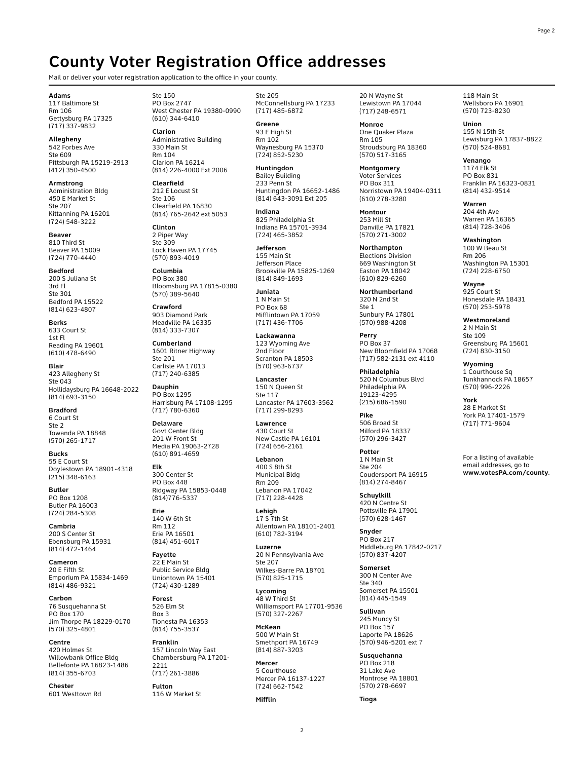### **County Voter Registration Office addresses**

Mail or deliver your voter registration application to the office in your county.

**Adams** 117 Baltimore St Rm 106 Gettysburg PA 17325 (717) 337-9832

**Allegheny** 542 Forbes Ave Ste 609 Pittsburgh PA 15219-2913 (412) 350-4500

**Armstrong** Administration Bldg 450 E Market St Ste 207 Kittanning PA 16201 (724) 548-3222

**Beaver** 810 Third St Beaver PA 15009 (724) 770-4440

**Bedford** 200 S Juliana St 3rd Fl Ste 301 Bedford PA 15522 (814) 623-4807

**Berks** 633 Court St 1st Fl Reading PA 19601 (610) 478-6490

**Blair** 423 Allegheny St Ste 043 Hollidaysburg PA 16648-2022 (814) 693-3150

**Bradford** 6 Court St Ste 2 Towanda PA 18848 (570) 265-1717

**Bucks** 55 E Court St Doylestown PA 18901-4318 (215) 348-6163

**Butler** PO Box 1208 Butler PA 16003 (724) 284-5308

**Cambria** 200 S Center St Ebensburg PA 15931 (814) 472-1464

**Cameron** 20 E Fifth St Emporium PA 15834-1469 (814) 486-9321

**Carbon** 76 Susquehanna St PO Box 170 Jim Thorpe PA 18229-0170 (570) 325-4801

**Centre** 420 Holmes St Willowbank Office Bldg Bellefonte PA 16823-1486 (814) 355-6703

**Chester** 601 Westtown Rd Ste 150 PO Box 2747 West Chester PA 19380-0990 (610) 344-6410

**Clarion** Administrative Building 330 Main St Rm 104 Clarion PA 16214 (814) 226-4000 Ext 2006

**Clearfield** 212 E Locust St Ste 106 Clearfield PA 16830 (814) 765-2642 ext 5053

**Clinton** 2 Piper Way Ste 309 Lock Haven PA 17745 (570) 893-4019

**Columbia** PO Box 380 Bloomsburg PA 17815-0380 (570) 389-5640

**Crawford** 903 Diamond Park Meadville PA 16335 (814) 333-7307

**Cumberland**  1601 Ritner Highway Ste 201 Carlisle PA 17013 (717) 240-6385

**Dauphin** PO Box 1295 Harrisburg PA 17108-1295 (717) 780-6360

**Delaware** Govt Center Bldg 201 W Front St Media PA 19063-2728 (610) 891-4659

**Elk** 300 Center St PO Box 448 Ridgway PA 15853-0448 (814)776-5337

**Erie** 140 W 6th St Rm 112 Erie PA 16501 (814) 451-6017

**Fayette** 22 E Main St Public Service Bldg Uniontown PA 15401 (724) 430-1289

**Forest** 526 Elm St Box 3 Tionesta PA 16353 (814) 755-3537

**Franklin**  157 Lincoln Way East Chambersburg PA 17201- 2211 (717) 261-3886

**Fulton** 116 W Market St

Ste 205 McConnellsburg PA 17233 (717) 485-6872

**Greene** 93 E High St Rm 102 Waynesburg PA 15370 (724) 852-5230

**Huntingdon** Bailey Building 233 Penn St Huntingdon PA 16652-1486 (814) 643-3091 Ext 205

**Indiana** 825 Philadelphia St Indiana PA 15701-3934 (724) 465-3852

**Jefferson** 155 Main St Jefferson Place Brookville PA 15825-1269 (814) 849-1693

**Juniata** 1 N Main St PO Box 68 Mifflintown PA 17059 (717) 436-7706

**Lackawanna** 123 Wyoming Ave 2nd Floor Scranton PA 18503 (570) 963-6737

**Lancaster** 150 N Queen St Ste 117 Lancaster PA 17603-3562 (717) 299-8293

**Lawrence** 430 Court St New Castle PA 16101 (724) 656-2161

**Lebanon** 400 S 8th St Municipal Bldg Rm 209 Lebanon PA 17042 (717) 228-4428

**Lehigh** 17 S 7th St Allentown PA 18101-2401 (610) 782-3194

**Luzerne** 20 N Pennsylvania Ave Ste 207 Wilkes-Barre PA 18701 (570) 825-1715

**Lycoming** 48 W Third St Williamsport PA 17701-9536 (570) 327-2267

**McKean** 500 W Main St Smethport PA 16749 (814) 887-3203

**Mercer** 5 Courthouse Mercer PA 16137-1227 (724) 662-7542

**Mifflin**

20 N Wayne St Lewistown PA 17044 (717) 248-6571

**Monroe** One Quaker Plaza Rm 105 Stroudsburg PA 18360 (570) 517-3165

**Montgomery** Voter Services PO Box 311 Norristown PA 19404-0311 (610) 278-3280

**Montour** 253 Mill St Danville PA 17821 (570) 271-3002

**Northampton** Elections Division 669 Washington St Easton PA 18042 (610) 829-6260

**Northumberland** 320 N 2nd St Ste 1 Sunbury PA 17801 (570) 988-4208

**Perry** PO Box 37 New Bloomfield PA 17068 (717) 582-2131 ext 4110

**Philadelphia** 520 N Columbus Blvd Philadelphia PA 19123-4295 (215) 686-1590

**Pike** 506 Broad St Milford PA 18337 (570) 296-3427

**Potter** 1 N Main St Ste 204 Coudersport PA 16915 (814) 274-8467

**Schuylkill** 420 N Centre St Pottsville PA 17901 (570) 628-1467

**Snyder** PO Box 217 Middleburg PA 17842-0217 (570) 837-4207

**Somerset** 300 N Center Ave Ste 340 Somerset PA 15501 (814) 445-1549

**Sullivan** 245 Muncy St PO Box 157 Laporte PA 18626 (570) 946-5201 ext 7

**Susquehanna** PO Box 218 31 Lake Ave Montrose PA 18801 (570) 278-6697

**Tioga**

118 Main St Wellsboro PA 16901 (570) 723-8230

**Union** 155 N 15th St Lewisburg PA 17837-8822 (570) 524-8681

**Venango** 1174 Elk St PO Box 831 Franklin PA 16323-0831 (814) 432-9514

**Warren** 204 4th Ave Warren PA 16365 (814) 728-3406

**Washington** 100 W Beau St Rm 206 Washington PA 15301 (724) 228-6750

**Wayne** 925 Court St Honesdale PA 18431 (570) 253-5978

**Westmoreland**  2 N Main St Ste 109 Greensburg PA 15601 (724) 830-3150

**Wyoming** 1 Courthouse Sq Tunkhannock PA 18657 (570) 996-2226

**York** 28 E Market St York PA 17401-1579 (717) 771-9604

For a listing of available email addresses, go to **www.votesPA.com/county**.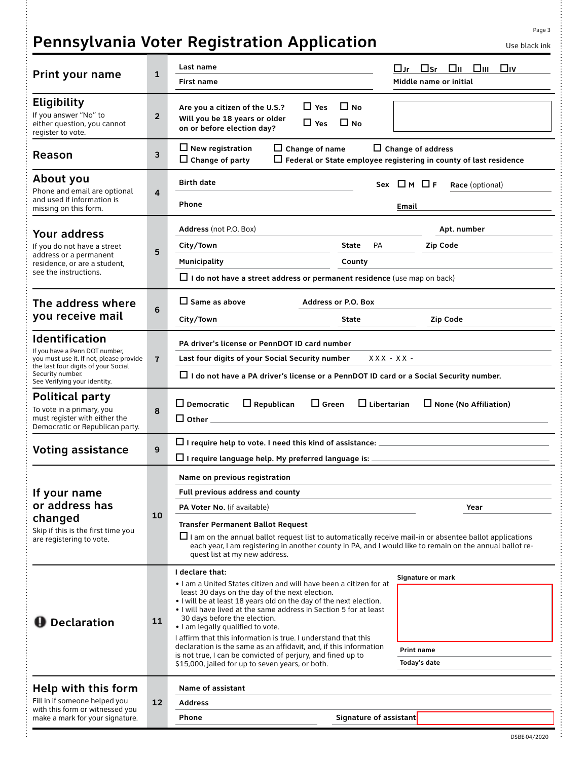# **Pennsylvania Voter Registration Application** May black ink

| $\sim$ | ۰.<br>× |
|--------|---------|
|        |         |

| Print your name                                                                                                                                                                               | $\mathbf{1}$   | Last name<br>First name                                                                                                                                                                                                                                                                                                                                                                                                                                                                                                                                                                                           | $\square$ Sr<br>Oii Oiii Oiv<br>□Jr<br>Middle name or initial |  |
|-----------------------------------------------------------------------------------------------------------------------------------------------------------------------------------------------|----------------|-------------------------------------------------------------------------------------------------------------------------------------------------------------------------------------------------------------------------------------------------------------------------------------------------------------------------------------------------------------------------------------------------------------------------------------------------------------------------------------------------------------------------------------------------------------------------------------------------------------------|---------------------------------------------------------------|--|
| <b>Eligibility</b><br>If you answer "No" to<br>either question, you cannot<br>register to vote.                                                                                               | $\overline{2}$ | $\Box$ Yes<br>$\Box$ No.<br>Are you a citizen of the U.S.?<br>Will you be 18 years or older<br>$\Box$ Yes<br>$\Box$ No.<br>on or before election day?                                                                                                                                                                                                                                                                                                                                                                                                                                                             |                                                               |  |
| Reason                                                                                                                                                                                        | 3              | $\Box$ New registration<br>$\Box$ Change of name<br>$\Box$ Change of address<br>$\Box$ Change of party<br>$\Box$ Federal or State employee registering in county of last residence                                                                                                                                                                                                                                                                                                                                                                                                                                |                                                               |  |
| About you<br>Phone and email are optional<br>and used if information is<br>missing on this form.                                                                                              | $\overline{4}$ | <b>Birth date</b><br>Phone                                                                                                                                                                                                                                                                                                                                                                                                                                                                                                                                                                                        | $Sex$ $\Box$ M $\Box$ F<br>Race (optional)<br>Email           |  |
| <b>Your address</b><br>If you do not have a street<br>address or a permanent<br>residence, or are a student,<br>see the instructions.                                                         | 5              | Address (not P.O. Box)<br>City/Town<br><b>PA</b><br>State<br>Municipality<br>County<br>$\Box$ I do not have a street address or permanent residence (use map on back)                                                                                                                                                                                                                                                                                                                                                                                                                                             | Apt. number<br><b>Zip Code</b>                                |  |
| The address where<br>you receive mail                                                                                                                                                         | 6              | $\Box$ Same as above<br><b>Address or P.O. Box</b><br>City/Town<br><b>State</b>                                                                                                                                                                                                                                                                                                                                                                                                                                                                                                                                   | <b>Zip Code</b>                                               |  |
| <b>Identification</b><br>If you have a Penn DOT number,<br>you must use it. If not, please provide<br>the last four digits of your Social<br>Security number.<br>See Verifying your identity. | $\overline{7}$ | PA driver's license or PennDOT ID card number<br>Last four digits of your Social Security number<br>$XXX - XX -$<br>$\Box$ I do not have a PA driver's license or a PennDOT ID card or a Social Security number.                                                                                                                                                                                                                                                                                                                                                                                                  |                                                               |  |
| Political party<br>To vote in a primary, you<br>must register with either the<br>Democratic or Republican party.                                                                              | 8              | $\square$ Democratic<br>$\Box$ Green<br>$\Box$ Libertarian<br>$\Box$ None (No Affiliation)<br>$\Box$ Republican<br>$\Box$ Other $\_$                                                                                                                                                                                                                                                                                                                                                                                                                                                                              |                                                               |  |
| <b>Voting assistance</b>                                                                                                                                                                      | 9              | $\Box$ I require help to vote. I need this kind of assistance:<br>$\Box$ I require language help. My preferred language is:                                                                                                                                                                                                                                                                                                                                                                                                                                                                                       |                                                               |  |
| If your name<br>or address has<br>changed<br>Skip if this is the first time you<br>are registering to vote.                                                                                   | 10             | Name on previous registration<br>Full previous address and county<br>PA Voter No. (if available)<br><b>Transfer Permanent Ballot Request</b><br>$\Box$ I am on the annual ballot request list to automatically receive mail-in or absentee ballot applications<br>each year, I am registering in another county in PA, and I would like to remain on the annual ballot re-<br>quest list at my new address.                                                                                                                                                                                                       | Year                                                          |  |
| <b>D</b> Declaration                                                                                                                                                                          | 11             | I declare that:<br>. I am a United States citizen and will have been a citizen for at<br>least 30 days on the day of the next election.<br>. I will be at least 18 years old on the day of the next election.<br>. I will have lived at the same address in Section 5 for at least<br>30 days before the election.<br>. I am legally qualified to vote.<br>I affirm that this information is true. I understand that this<br>declaration is the same as an affidavit, and, if this information<br>is not true, I can be convicted of perjury, and fined up to<br>\$15,000, jailed for up to seven years, or both. | Signature or mark<br><b>Print name</b><br>Today's date        |  |
| Help with this form<br>Fill in if someone helped you<br>with this form or witnessed you<br>make a mark for your signature.                                                                    | 12             | Name of assistant<br><b>Address</b><br>Signature of assistant<br>Phone                                                                                                                                                                                                                                                                                                                                                                                                                                                                                                                                            |                                                               |  |